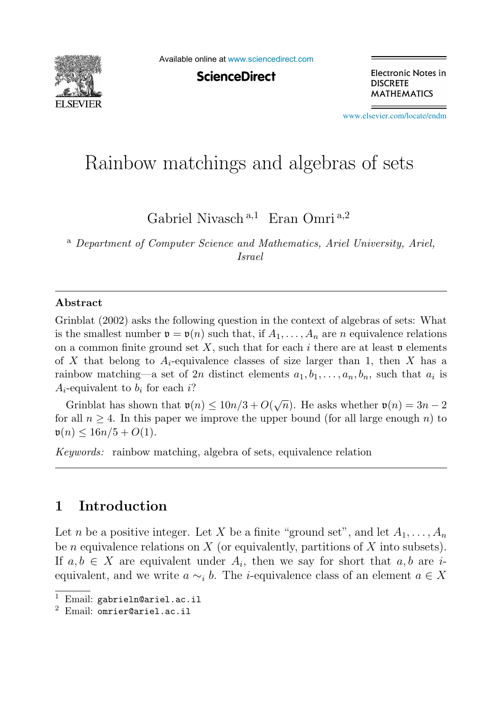

Available online at [www.sciencedirect.com](http://www.sciencedirect.com)

**ScienceDirect** 

Electronic Notes in **DISCRETE MATHEMATICS** 

[www.elsevier.com/locate/endm](http://www.elsevier.com/locate/endm)

# Rainbow matchings and algebras of sets

Gabriel Nivasch <sup>a</sup>,<sup>1</sup> Eran Omri <sup>a</sup>,<sup>2</sup>

<sup>a</sup> *Department of Computer Science and Mathematics, Ariel University, Ariel, Israel*

### **Abstract**

Grinblat (2002) asks the following question in the context of algebras of sets: What is the smallest number  $\mathfrak{v} = \mathfrak{v}(n)$  such that, if  $A_1, \ldots, A_n$  are n equivalence relations on a common finite ground set X, such that for each i there are at least  $\nu$  elements of X that belong to  $A_i$ -equivalence classes of size larger than 1, then X has a rainbow matching—a set of 2n distinct elements  $a_1, b_1, \ldots, a_n, b_n$ , such that  $a_i$  is  $A_i$ -equivalent to  $b_i$  for each i?

Grinblat has shown that  $\mathfrak{v}(n) \leq 10n/3 + O(\sqrt{n})$ . He asks whether  $\mathfrak{v}(n) = 3n - 2$ for all  $n \geq 4$ . In this paper we improve the upper bound (for all large enough n) to  $\mathfrak{v}(n) \leq 16n/5 + O(1).$ 

*Keywords:* rainbow matching, algebra of sets, equivalence relation

# **1 Introduction**

Let n be a positive integer. Let X be a finite "ground set", and let  $A_1, \ldots, A_n$ be *n* equivalence relations on  $X$  (or equivalently, partitions of  $X$  into subsets). If  $a, b \in X$  are equivalent under  $A_i$ , then we say for short that  $a, b$  are iequivalent, and we write  $a \sim_i b$ . The *i*-equivalence class of an element  $a \in X$ 

 $\frac{1}{2}$  Email: gabrieln@ariel.ac.il<br> $\frac{2}{2}$  Email: omrier@ariel.ac.il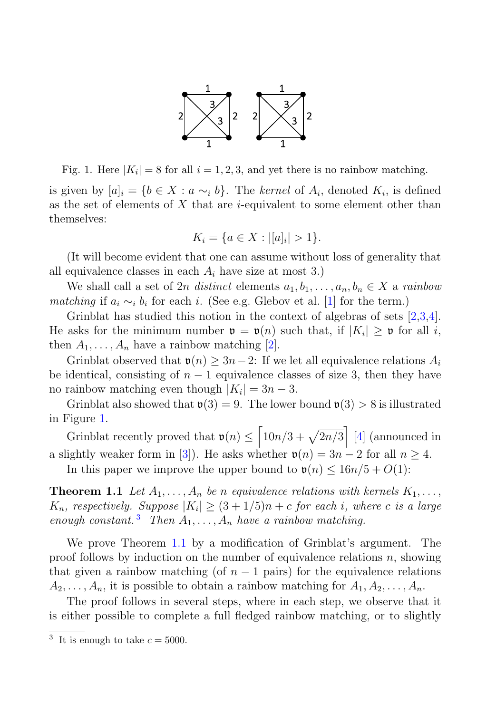

Fig. 1. Here  $|K_i| = 8$  for all  $i = 1, 2, 3$ , and yet there is no rainbow matching.

is given by  $[a]_i = \{b \in X : a \sim_i b\}$ . The kernel of  $A_i$ , denoted  $K_i$ , is defined as the set of elements of X that are *i*-equivalent to some element other than themselves:

$$
K_i = \{ a \in X : |[a]_i| > 1 \}.
$$

(It will become evident that one can assume without loss of generality that all equivalence classes in each  $A_i$  have size at most 3.)

We shall call a set of 2n distinct elements  $a_1, b_1, \ldots, a_n, b_n \in X$  a rainbow *matching* if  $a_i \sim_i b_i$  for each *i*. (See e.g. Glebov et al. [1] for the term.)

Grinblat has studied this notion in the context of algebras of sets [2,3,4]. He asks for the minimum number  $\mathfrak{v} = \mathfrak{v}(n)$  such that, if  $|K_i| > \mathfrak{v}$  for all i, then  $A_1, \ldots, A_n$  have a rainbow matching [2].

Grinblat observed that  $\mathfrak{v}(n) \geq 3n-2$ : If we let all equivalence relations  $A_i$ be identical, consisting of  $n-1$  equivalence classes of size 3, then they have no rainbow matching even though  $|K_i| = 3n - 3$ .

Grinblat also showed that  $\mathfrak{v}(3) = 9$ . The lower bound  $\mathfrak{v}(3) > 8$  is illustrated in Figure 1.

Grinblat recently proved that  $\mathfrak{v}(n) \leq \left[10n/3 + \sqrt{2n/3}\right]$  [4] (announced in a slightly weaker form in [3]). He asks whether  $\mathfrak{v}(n)=3n-2$  for all  $n \geq 4$ .

In this paper we improve the upper bound to  $\mathfrak{v}(n) \leq 16n/5 + O(1)$ :

**Theorem 1.1** Let  $A_1, \ldots, A_n$  be n equivalence relations with kernels  $K_1, \ldots,$  $K_n$ , respectively. Suppose  $|K_i| \geq (3 + 1/5)n + c$  for each i, where c is a large enough constant.<sup>3</sup> Then  $A_1, \ldots, A_n$  have a rainbow matching.

We prove Theorem 1.1 by a modification of Grinblat's argument. The proof follows by induction on the number of equivalence relations  $n$ , showing that given a rainbow matching (of  $n-1$  pairs) for the equivalence relations  $A_2, \ldots, A_n$ , it is possible to obtain a rainbow matching for  $A_1, A_2, \ldots, A_n$ .

The proof follows in several steps, where in each step, we observe that it is either possible to complete a full fledged rainbow matching, or to slightly

<sup>&</sup>lt;sup>3</sup> It is enough to take  $c = 5000$ .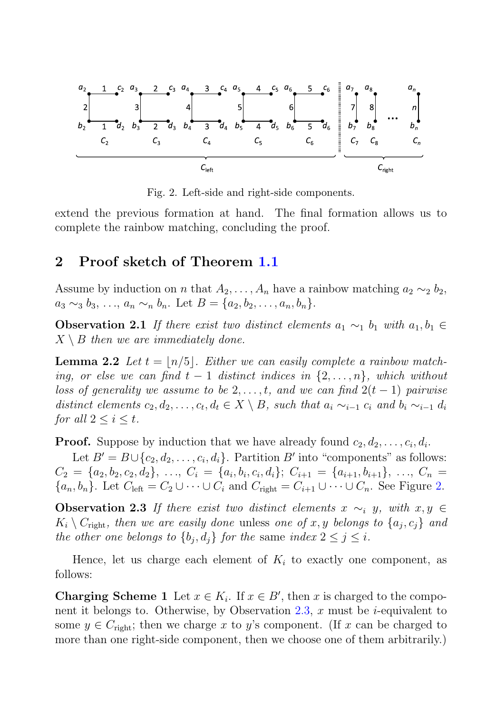

Fig. 2. Left-side and right-side components.

extend the previous formation at hand. The final formation allows us to complete the rainbow matching, concluding the proof.

## **2 Proof sketch of Theorem 1.1**

Assume by induction on n that  $A_2, \ldots, A_n$  have a rainbow matching  $a_2 \sim_2 b_2$ ,  $a_3 \sim_3 b_3, \ldots, a_n \sim_n b_n$ . Let  $B = \{a_2, b_2, \ldots, a_n, b_n\}.$ 

**Observation 2.1** If there exist two distinct elements  $a_1 \sim_1 b_1$  with  $a_1, b_1 \in$  $X \setminus B$  then we are immediately done.

**Lemma 2.2** Let  $t = \lfloor n/5 \rfloor$ . Either we can easily complete a rainbow matching, or else we can find  $t - 1$  distinct indices in  $\{2, \ldots, n\}$ , which without loss of generality we assume to be  $2, \ldots, t$ , and we can find  $2(t - 1)$  pairwise distinct elements  $c_2, d_2, \ldots, c_t, d_t \in X \setminus B$ , such that  $a_i \sim_{i-1} c_i$  and  $b_i \sim_{i-1} d_i$ for all  $2 \leq i \leq t$ .

**Proof.** Suppose by induction that we have already found  $c_2, d_2, \ldots, c_i, d_i$ .

Let  $B' = B \cup \{c_2, d_2, \ldots, c_i, d_i\}$ . Partition B' into "components" as follows:  $C_2 = \{a_2, b_2, c_2, d_2\}, \ldots, C_i = \{a_i, b_i, c_i, d_i\}; C_{i+1} = \{a_{i+1}, b_{i+1}\}, \ldots, C_n =$  $\{a_n, b_n\}$ . Let  $C_{\text{left}} = C_2 \cup \cdots \cup C_i$  and  $C_{\text{right}} = C_{i+1} \cup \cdots \cup C_n$ . See Figure 2.

**Observation 2.3** If there exist two distinct elements  $x \sim_i y$ , with  $x, y \in$  $K_i \setminus C_{\text{right}}$ , then we are easily done unless one of x, y belongs to  $\{a_j, c_j\}$  and the other one belongs to  $\{b_i, d_i\}$  for the same index  $2 \leq j \leq i$ .

Hence, let us charge each element of  $K_i$  to exactly one component, as follows:

**Charging Scheme 1** Let  $x \in K_i$ . If  $x \in B'$ , then x is charged to the component it belongs to. Otherwise, by Observation 2.3, x must be *i*-equivalent to some  $y \in C_{\text{right}}$ ; then we charge x to y's component. (If x can be charged to more than one right-side component, then we choose one of them arbitrarily.)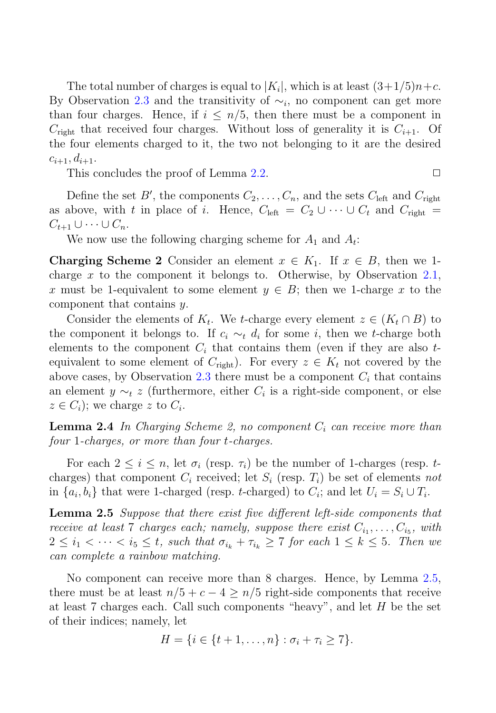The total number of charges is equal to  $|K_i|$ , which is at least  $(3+1/5)n+c$ . By Observation 2.3 and the transitivity of  $\sim$ <sub>i</sub>, no component can get more than four charges. Hence, if  $i \leq n/5$ , then there must be a component in  $C_{\text{right}}$  that received four charges. Without loss of generality it is  $C_{i+1}$ . Of the four elements charged to it, the two not belonging to it are the desired  $c_{i+1}, d_{i+1}.$ 

This concludes the proof of Lemma 2.2.  $\Box$ 

Define the set B', the components  $C_2, \ldots, C_n$ , and the sets  $C_{\text{left}}$  and  $C_{\text{right}}$ <br>above with t in place of in Hopes  $C_1 = C_1 + \cdots + C_n$  and  $C_n =$ as above, with t in place of i. Hence,  $C_{\text{left}} = C_2 \cup \cdots \cup C_t$  and  $C_{\text{right}} =$  $C_{t+1} \cup \cdots \cup C_n$ .

We now use the following charging scheme for  $A_1$  and  $A_t$ :

**Charging Scheme 2** Consider an element  $x \in K_1$ . If  $x \in B$ , then we 1charge  $x$  to the component it belongs to. Otherwise, by Observation 2.1, x must be 1-equivalent to some element  $y \in B$ ; then we 1-charge x to the component that contains y.

Consider the elements of  $K_t$ . We t-charge every element  $z \in (K_t \cap B)$  to the component it belongs to. If  $c_i \sim_t d_i$  for some i, then we t-charge both elements to the component  $C_i$  that contains them (even if they are also tequivalent to some element of  $C_{\text{right}}$ ). For every  $z \in K_t$  not covered by the above cases, by Observation 2.3 there must be a component  $C_i$  that contains an element  $y \sim_t z$  (furthermore, either  $C_i$  is a right-side component, or else  $z \in C_i$ ; we charge z to  $C_i$ .

**Lemma 2.4** In Charging Scheme 2, no component  $C_i$  can receive more than four 1-charges, or more than four t-charges.

For each  $2 \leq i \leq n$ , let  $\sigma_i$  (resp.  $\tau_i$ ) be the number of 1-charges (resp. tcharges) that component  $C_i$  received; let  $S_i$  (resp.  $T_i$ ) be set of elements not in  $\{a_i, b_i\}$  that were 1-charged (resp. t-charged) to  $C_i$ ; and let  $U_i = S_i \cup T_i$ .

**Lemma 2.5** Suppose that there exist five different left-side components that receive at least 7 charges each; namely, suppose there exist  $C_{i_1}, \ldots, C_{i_5}$ , with  $2 \leq i_1 < \cdots < i_5 \leq t$ , such that  $\sigma_{i_k} + \tau_{i_k} \geq 7$  for each  $1 \leq k \leq 5$ . Then we can complete a rainbow matching.

No component can receive more than 8 charges. Hence, by Lemma 2.5, there must be at least  $n/5 + c - 4 \geq n/5$  right-side components that receive at least 7 charges each. Call such components "heavy", and let  $H$  be the set of their indices; namely, let

$$
H = \{i \in \{t+1, \ldots, n\} : \sigma_i + \tau_i \geq 7\}.
$$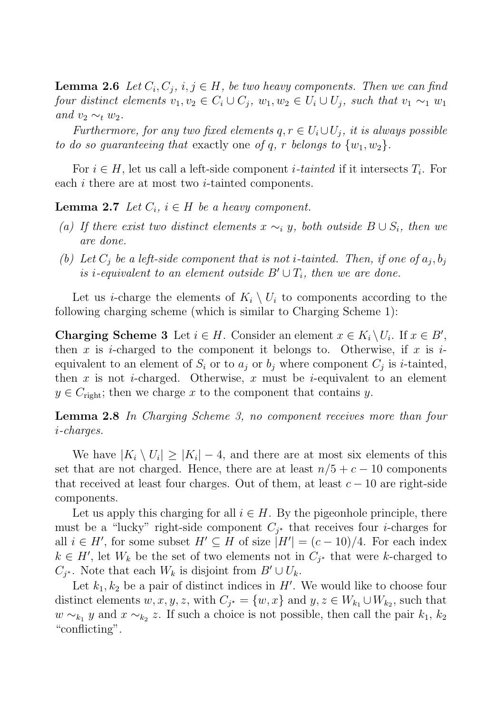**Lemma 2.6** Let  $C_i, C_j, i, j \in H$ , be two heavy components. Then we can find four distinct elements  $v_1, v_2 \in C_i \cup C_j$ ,  $w_1, w_2 \in U_i \cup U_j$ , such that  $v_1 \sim_1 w_1$ and  $v_2 \sim_t w_2$ .

Furthermore, for any two fixed elements  $q, r \in U_i \cup U_j$ , it is always possible to do so guaranteeing that exactly one of q, r belongs to  $\{w_1, w_2\}$ .

For  $i \in H$ , let us call a left-side component *i*-tainted if it intersects  $T_i$ . For each *i* there are at most two *i*-tainted components.

**Lemma 2.7** Let  $C_i$ ,  $i \in H$  be a heavy component.

- (a) If there exist two distinct elements  $x \sim_i y$ , both outside  $B \cup S_i$ , then we are done.
- (b) Let  $C_i$  be a left-side component that is not *i*-tainted. Then, if one of  $a_i, b_j$ is i-equivalent to an element outside  $B' \cup T_i$ , then we are done.

Let us *i*-charge the elements of  $K_i \setminus U_i$  to components according to the following charging scheme (which is similar to Charging Scheme 1):

**Charging Scheme 3** Let  $i \in H$ . Consider an element  $x \in K_i \setminus U_i$ . If  $x \in B'$ , then x is i-charged to the component it belongs to. Otherwise, if x is iequivalent to an element of  $S_i$  or to  $a_j$  or  $b_j$  where component  $C_j$  is *i*-tainted, then x is not *i*-charged. Otherwise, x must be *i*-equivalent to an element  $y \in C_{\text{right}}$ ; then we charge x to the component that contains y.

**Lemma 2.8** In Charging Scheme 3, no component receives more than four i-charges.

We have  $|K_i \setminus U_i| \geq |K_i| - 4$ , and there are at most six elements of this set that are not charged. Hence, there are at least  $n/5 + c - 10$  components that received at least four charges. Out of them, at least  $c - 10$  are right-side components.

Let us apply this charging for all  $i \in H$ . By the pigeonhole principle, there must be a "lucky" right-side component  $C_{j^*}$  that receives four *i*-charges for all  $i \in H'$ , for some subset  $H' \subseteq H$  of size  $|H'| = (c - 10)/4$ . For each index  $k \in H'$ , let  $W_k$  be the set of two elements not in  $C_{j^*}$  that were k-charged to  $C_{j^*}$ . Note that each  $W_k$  is disjoint from  $B' \cup U_k$ .

Let  $k_1, k_2$  be a pair of distinct indices in H'. We would like to choose four distinct elements  $w, x, y, z$ , with  $C_{j^*} = \{w, x\}$  and  $y, z \in W_{k_1} \cup W_{k_2}$ , such that  $w \sim_{k_1} y$  and  $x \sim_{k_2} z$ . If such a choice is not possible, then call the pair  $k_1, k_2$ "conflicting".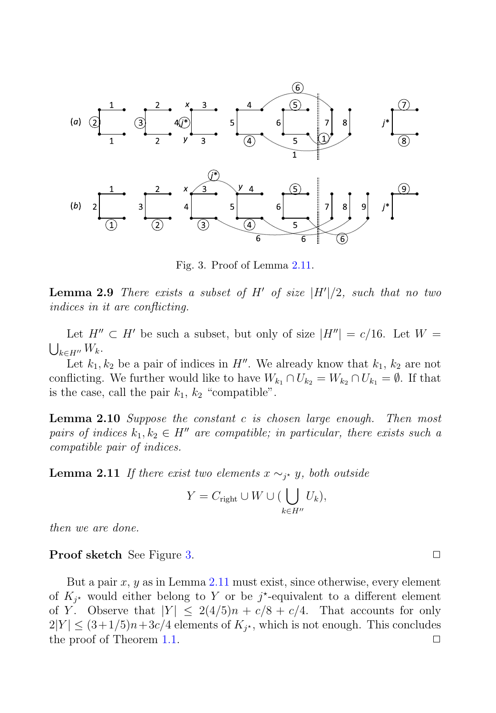

Fig. 3. Proof of Lemma 2.11.

**Lemma 2.9** There exists a subset of  $H'$  of size  $|H'|/2$ , such that no two indices in it are conflicting.

Let  $H'' \subset H'$  be such a subset, but only of size  $|H''| = c/16$ . Let  $W = \bigcup_{k \in H''} W_k$ .  $\bigcup_{k\in H''} W_k$ .

Let  $k_1, k_2$  be a pair of indices in H''. We already know that  $k_1, k_2$  are not<br>distinct We further would like to have  $W_1 \n S$ ,  $W_2 \n S$ ,  $W_3 \n S$ , if that conflicting. We further would like to have  $W_{k_1} \cap U_{k_2} = W_{k_2} \cap U_{k_1} = \emptyset$ . If that is the case, call the pair  $k_1$ ,  $k_2$  "compatible".

**Lemma 2.10** Suppose the constant c is chosen large enough. Then most pairs of indices  $k_1, k_2 \in H''$  are compatible; in particular, there exists such a<br>compatible pair of indices compatible pair of indices.

**Lemma 2.11** If there exist two elements  $x \sim_{j^*} y$ , both outside

$$
Y = C_{\text{right}} \cup W \cup (\bigcup_{k \in H''} U_k),
$$

then we are done.

**Proof sketch** See Figure 3. ◯

But a pair  $x, y$  as in Lemma 2.11 must exist, since otherwise, every element of  $K_{j^*}$  would either belong to Y or be  $j^*$ -equivalent to a different element of Y. Observe that  $|Y| \leq 2(4/5)n + c/8 + c/4$ . That accounts for only  $2|Y| \leq (3+1/5)n + 3c/4$  elements of  $K_{j^*}$ , which is not enough. This concludes the proof of Theorem 1.1.  $\Box$